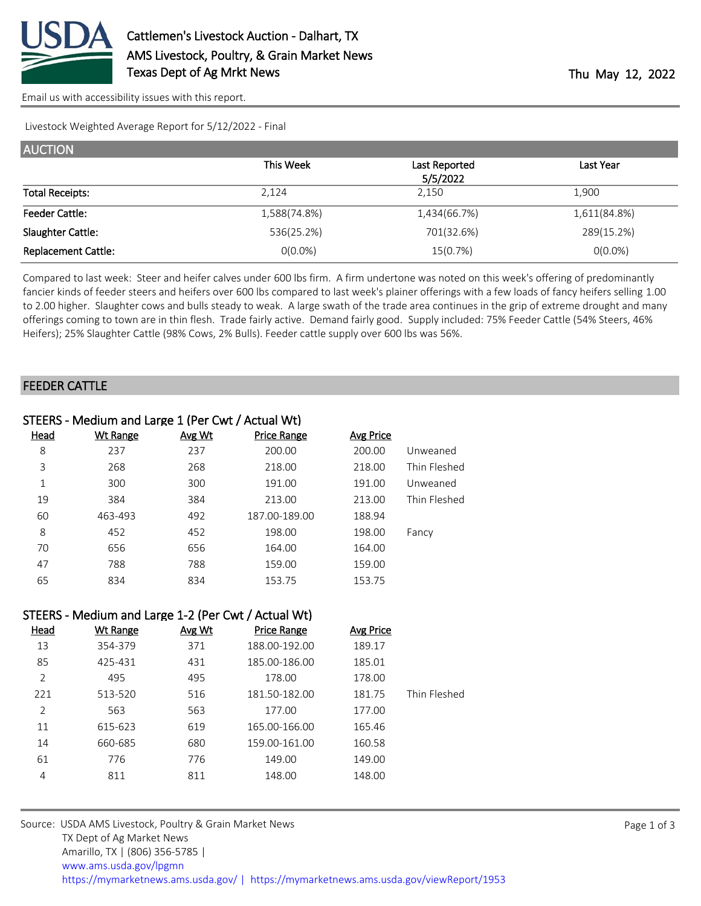

[Email us with accessibility issues with this report.](mailto:mars@ams.usda.gov?subject=508%20issue)

Livestock Weighted Average Report for 5/12/2022 - Final

| <b>AUCTION</b>             |              |               |                  |
|----------------------------|--------------|---------------|------------------|
|                            | This Week    | Last Reported | <b>Last Year</b> |
|                            |              | 5/5/2022      |                  |
| <b>Total Receipts:</b>     | 2,124        | 2.150         | 1,900            |
| <b>Feeder Cattle:</b>      | 1,588(74.8%) | 1,434(66.7%)  | 1,611(84.8%)     |
| Slaughter Cattle:          | 536(25.2%)   | 701(32.6%)    | 289(15.2%)       |
| <b>Replacement Cattle:</b> | $O(0.0\%)$   | 15(0.7%)      | $O(0.0\%)$       |

Compared to last week: Steer and heifer calves under 600 lbs firm. A firm undertone was noted on this week's offering of predominantly fancier kinds of feeder steers and heifers over 600 lbs compared to last week's plainer offerings with a few loads of fancy heifers selling 1.00 to 2.00 higher. Slaughter cows and bulls steady to weak. A large swath of the trade area continues in the grip of extreme drought and many offerings coming to town are in thin flesh. Trade fairly active. Demand fairly good. Supply included: 75% Feeder Cattle (54% Steers, 46% Heifers); 25% Slaughter Cattle (98% Cows, 2% Bulls). Feeder cattle supply over 600 lbs was 56%.

#### FEEDER CATTLE

| STEERS - Medium and Large 1 (Per Cwt / Actual Wt) |                 |        |                    |           |              |  |
|---------------------------------------------------|-----------------|--------|--------------------|-----------|--------------|--|
| Head                                              | <b>Wt Range</b> | Avg Wt | <b>Price Range</b> | Avg Price |              |  |
| 8                                                 | 237             | 237    | 200.00             | 200.00    | Unweaned     |  |
| 3                                                 | 268             | 268    | 218.00             | 218.00    | Thin Fleshed |  |
| 1                                                 | 300             | 300    | 191.00             | 191.00    | Unweaned     |  |
| 19                                                | 384             | 384    | 213.00             | 213.00    | Thin Fleshed |  |
| 60                                                | 463-493         | 492    | 187.00-189.00      | 188.94    |              |  |
| 8                                                 | 452             | 452    | 198.00             | 198.00    | Fancy        |  |
| 70                                                | 656             | 656    | 164.00             | 164.00    |              |  |
| 47                                                | 788             | 788    | 159.00             | 159.00    |              |  |
| 65                                                | 834             | 834    | 153.75             | 153.75    |              |  |

#### STEERS - Medium and Large 1-2 (Per Cwt / Actual Wt)

| <u>Head</u> | <b>Wt Range</b> | Avg Wt | <b>Price Range</b> | <b>Avg Price</b> |              |
|-------------|-----------------|--------|--------------------|------------------|--------------|
| 13          | 354-379         | 371    | 188.00-192.00      | 189.17           |              |
| 85          | 425-431         | 431    | 185.00-186.00      | 185.01           |              |
| 2           | 495             | 495    | 178.00             | 178.00           |              |
| 221         | 513-520         | 516    | 181.50-182.00      | 181.75           | Thin Fleshed |
| 2           | 563             | 563    | 177.00             | 177.00           |              |
| 11          | 615-623         | 619    | 165.00-166.00      | 165.46           |              |
| 14          | 660-685         | 680    | 159.00-161.00      | 160.58           |              |
| 61          | 776             | 776    | 149.00             | 149.00           |              |
| 4           | 811             | 811    | 148.00             | 148.00           |              |
|             |                 |        |                    |                  |              |

Source: USDA AMS Livestock, Poultry & Grain Market News TX Dept of Ag Market News Amarillo, TX | (806) 356-5785 | [www.ams.usda.gov/lpgmn](https://www.ams.usda.gov/market-news) <https://mymarketnews.ams.usda.gov/> [|](https://www.ams.usda.gov/market-news) <https://mymarketnews.ams.usda.gov/viewReport/1953>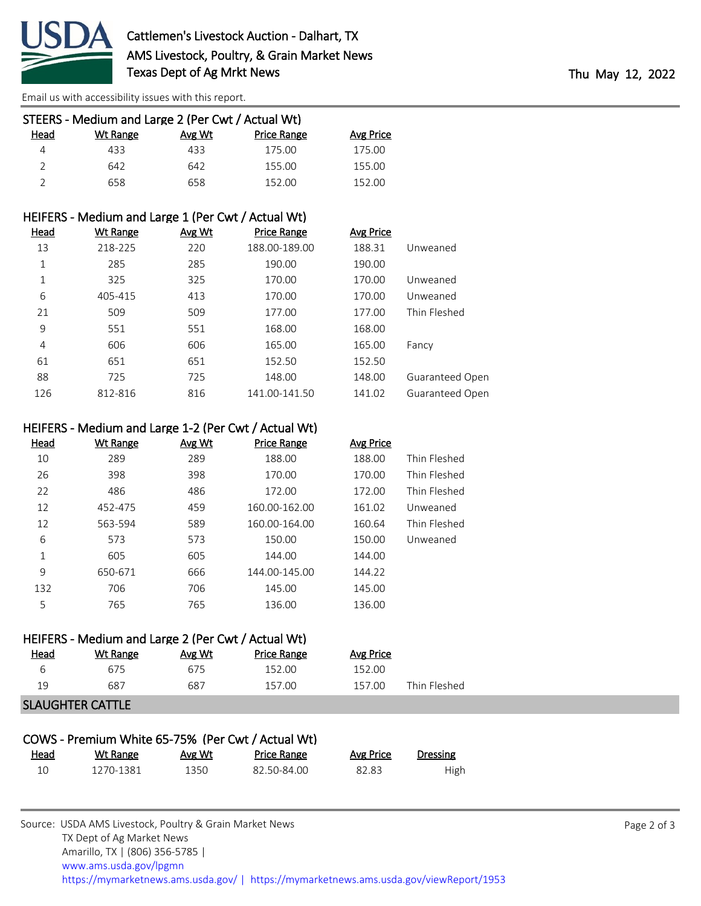

[Email us with accessibility issues with this report.](mailto:mars@ams.usda.gov?subject=508%20issue)

| STEERS - Medium and Large 2 (Per Cwt / Actual Wt) |          |        |                    |           |  |  |  |
|---------------------------------------------------|----------|--------|--------------------|-----------|--|--|--|
| Head                                              | Wt Range | Avg Wt | <b>Price Range</b> | Avg Price |  |  |  |
| 4                                                 | 433      | 433    | 175.00             | 175.00    |  |  |  |
| $\mathcal{P}$                                     | 642      | 642    | 155.00             | 155.00    |  |  |  |
|                                                   | 658      | 658    | 152.00             | 152.00    |  |  |  |

# HEIFERS - Medium and Large 1 (Per Cwt / Actual Wt)

| <u>Head</u> | <b>Wt Range</b> | Avg Wt | <b>Price Range</b> | <b>Avg Price</b> |                 |
|-------------|-----------------|--------|--------------------|------------------|-----------------|
| 13          | 218-225         | 220    | 188.00-189.00      | 188.31           | Unweaned        |
| 1           | 285             | 285    | 190.00             | 190.00           |                 |
| 1           | 325             | 325    | 170.00             | 170.00           | Unweaned        |
| 6           | 405-415         | 413    | 170.00             | 170.00           | Unweaned        |
| 21          | 509             | 509    | 177.00             | 177.00           | Thin Fleshed    |
| 9           | 551             | 551    | 168.00             | 168.00           |                 |
| 4           | 606             | 606    | 165.00             | 165.00           | Fancy           |
| 61          | 651             | 651    | 152.50             | 152.50           |                 |
| 88          | 725             | 725    | 148.00             | 148.00           | Guaranteed Open |
| 126         | 812-816         | 816    | 141.00-141.50      | 141.02           | Guaranteed Open |

# HEIFERS - Medium and Large 1-2 (Per Cwt / Actual Wt)

| <u>Head</u> | <b>Wt Range</b> | Avg Wt | <b>Price Range</b> | <b>Avg Price</b> |              |
|-------------|-----------------|--------|--------------------|------------------|--------------|
| 10          | 289             | 289    | 188.00             | 188.00           | Thin Fleshed |
| 26          | 398             | 398    | 170.00             | 170.00           | Thin Fleshed |
| 22          | 486             | 486    | 172.00             | 172.00           | Thin Fleshed |
| 12          | 452-475         | 459    | 160.00-162.00      | 161.02           | Unweaned     |
| 12          | 563-594         | 589    | 160.00-164.00      | 160.64           | Thin Fleshed |
| 6           | 573             | 573    | 150.00             | 150.00           | Unweaned     |
| 1           | 605             | 605    | 144.00             | 144.00           |              |
| 9           | 650-671         | 666    | 144.00-145.00      | 144.22           |              |
| 132         | 706             | 706    | 145.00             | 145.00           |              |
| 5           | 765             | 765    | 136.00             | 136.00           |              |

## HEIFERS - Medium and Large 2 (Per Cwt / Actual Wt)

| <u>Head</u> | Wt Range | Avg Wt | Price Range | Avg Price |              |
|-------------|----------|--------|-------------|-----------|--------------|
| ь           | 675      | 675    | 152.00      | 152.00    |              |
| 19          | 687      | 687    | 157.00      | 157.00    | Thin Fleshed |
|             |          |        |             |           |              |

## SLAUGHTER CATTLE

| COWS - Premium White 65-75% (Per Cwt / Actual Wt) |           |        |                    |           |          |
|---------------------------------------------------|-----------|--------|--------------------|-----------|----------|
| <u>Head</u>                                       | Wt Range  | Avg Wt | <b>Price Range</b> | Avg Price | Dressing |
| 10                                                | 1270-1381 | 1350   | 82.50-84.00        | 82.83     | High     |